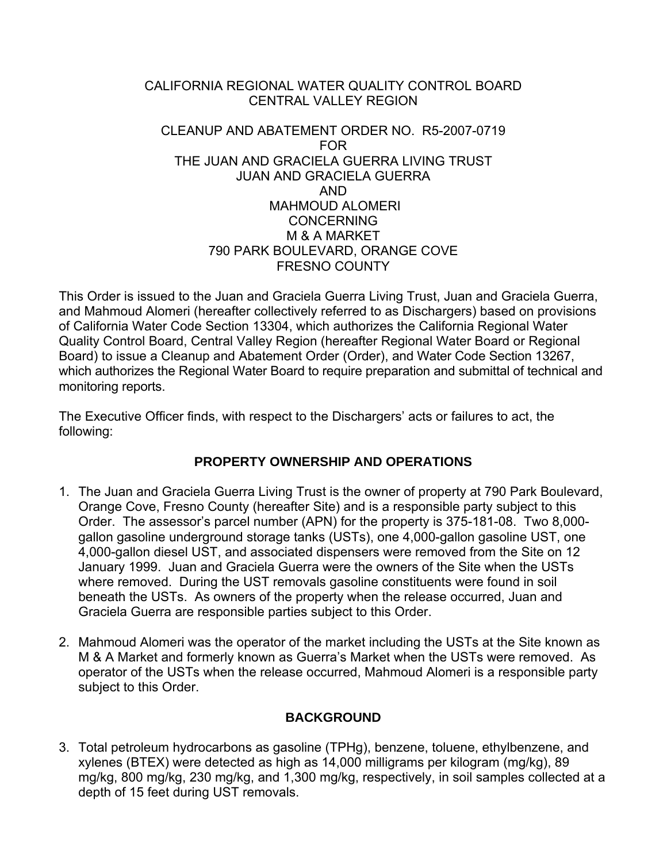### CALIFORNIA REGIONAL WATER QUALITY CONTROL BOARD CENTRAL VALLEY REGION

### CLEANUP AND ABATEMENT ORDER NO. R5-2007-0719 FOR THE JUAN AND GRACIELA GUERRA LIVING TRUST JUAN AND GRACIELA GUERRA AND MAHMOUD ALOMERI **CONCERNING** M & A MARKET 790 PARK BOULEVARD, ORANGE COVE FRESNO COUNTY

This Order is issued to the Juan and Graciela Guerra Living Trust, Juan and Graciela Guerra, and Mahmoud Alomeri (hereafter collectively referred to as Dischargers) based on provisions of California Water Code Section 13304, which authorizes the California Regional Water Quality Control Board, Central Valley Region (hereafter Regional Water Board or Regional Board) to issue a Cleanup and Abatement Order (Order), and Water Code Section 13267, which authorizes the Regional Water Board to require preparation and submittal of technical and monitoring reports.

The Executive Officer finds, with respect to the Dischargers' acts or failures to act, the following:

# **PROPERTY OWNERSHIP AND OPERATIONS**

- 1. The Juan and Graciela Guerra Living Trust is the owner of property at 790 Park Boulevard, Orange Cove, Fresno County (hereafter Site) and is a responsible party subject to this Order. The assessor's parcel number (APN) for the property is 375-181-08. Two 8,000 gallon gasoline underground storage tanks (USTs), one 4,000-gallon gasoline UST, one 4,000-gallon diesel UST, and associated dispensers were removed from the Site on 12 January 1999. Juan and Graciela Guerra were the owners of the Site when the USTs where removed. During the UST removals gasoline constituents were found in soil beneath the USTs. As owners of the property when the release occurred, Juan and Graciela Guerra are responsible parties subject to this Order.
- 2. Mahmoud Alomeri was the operator of the market including the USTs at the Site known as M & A Market and formerly known as Guerra's Market when the USTs were removed. As operator of the USTs when the release occurred, Mahmoud Alomeri is a responsible party subject to this Order.

# **BACKGROUND**

3. Total petroleum hydrocarbons as gasoline (TPHg), benzene, toluene, ethylbenzene, and xylenes (BTEX) were detected as high as 14,000 milligrams per kilogram (mg/kg), 89 mg/kg, 800 mg/kg, 230 mg/kg, and 1,300 mg/kg, respectively, in soil samples collected at a depth of 15 feet during UST removals.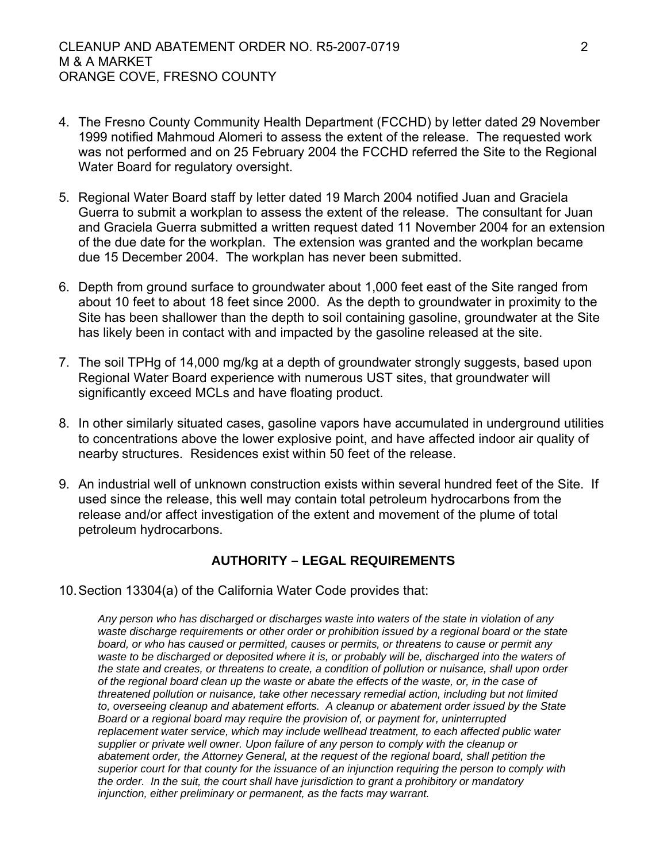- 4. The Fresno County Community Health Department (FCCHD) by letter dated 29 November 1999 notified Mahmoud Alomeri to assess the extent of the release. The requested work was not performed and on 25 February 2004 the FCCHD referred the Site to the Regional Water Board for regulatory oversight.
- 5. Regional Water Board staff by letter dated 19 March 2004 notified Juan and Graciela Guerra to submit a workplan to assess the extent of the release. The consultant for Juan and Graciela Guerra submitted a written request dated 11 November 2004 for an extension of the due date for the workplan. The extension was granted and the workplan became due 15 December 2004. The workplan has never been submitted.
- 6. Depth from ground surface to groundwater about 1,000 feet east of the Site ranged from about 10 feet to about 18 feet since 2000. As the depth to groundwater in proximity to the Site has been shallower than the depth to soil containing gasoline, groundwater at the Site has likely been in contact with and impacted by the gasoline released at the site.
- 7. The soil TPHg of 14,000 mg/kg at a depth of groundwater strongly suggests, based upon Regional Water Board experience with numerous UST sites, that groundwater will significantly exceed MCLs and have floating product.
- 8. In other similarly situated cases, gasoline vapors have accumulated in underground utilities to concentrations above the lower explosive point, and have affected indoor air quality of nearby structures. Residences exist within 50 feet of the release.
- 9. An industrial well of unknown construction exists within several hundred feet of the Site. If used since the release, this well may contain total petroleum hydrocarbons from the release and/or affect investigation of the extent and movement of the plume of total petroleum hydrocarbons.

### **AUTHORITY – LEGAL REQUIREMENTS**

10. Section 13304(a) of the California Water Code provides that:

*Any person who has discharged or discharges waste into waters of the state in violation of any waste discharge requirements or other order or prohibition issued by a regional board or the state board, or who has caused or permitted, causes or permits, or threatens to cause or permit any waste to be discharged or deposited where it is, or probably will be, discharged into the waters of the state and creates, or threatens to create, a condition of pollution or nuisance, shall upon order of the regional board clean up the waste or abate the effects of the waste, or, in the case of threatened pollution or nuisance, take other necessary remedial action, including but not limited to, overseeing cleanup and abatement efforts. A cleanup or abatement order issued by the State Board or a regional board may require the provision of, or payment for, uninterrupted*  replacement water service, which may include wellhead treatment, to each affected public water *supplier or private well owner. Upon failure of any person to comply with the cleanup or abatement order, the Attorney General, at the request of the regional board, shall petition the superior court for that county for the issuance of an injunction requiring the person to comply with the order. In the suit, the court shall have jurisdiction to grant a prohibitory or mandatory injunction, either preliminary or permanent, as the facts may warrant.*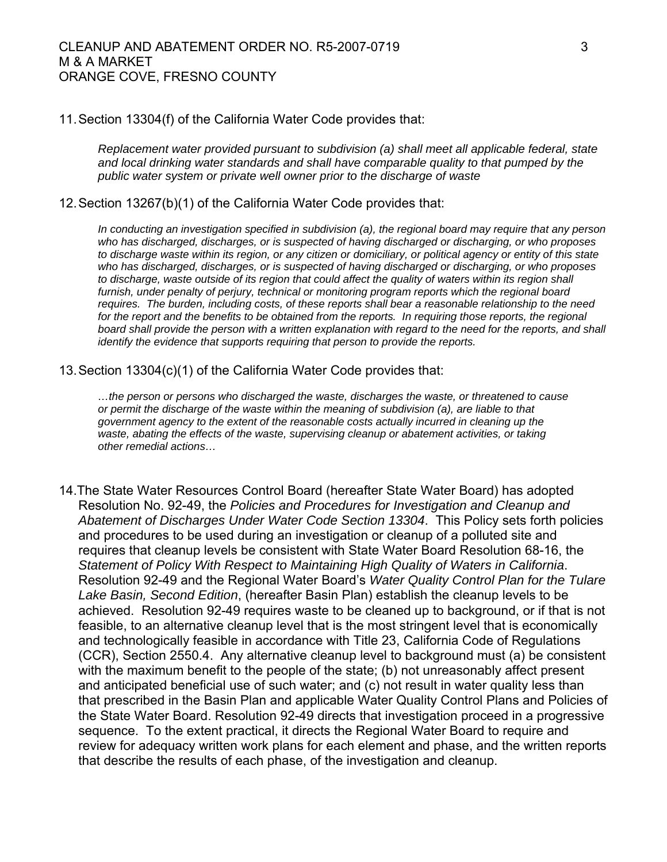#### 11. Section 13304(f) of the California Water Code provides that:

*Replacement water provided pursuant to subdivision (a) shall meet all applicable federal, state and local drinking water standards and shall have comparable quality to that pumped by the public water system or private well owner prior to the discharge of waste* 

#### 12. Section 13267(b)(1) of the California Water Code provides that:

*In conducting an investigation specified in subdivision (a), the regional board may require that any person who has discharged, discharges, or is suspected of having discharged or discharging, or who proposes to discharge waste within its region, or any citizen or domiciliary, or political agency or entity of this state who has discharged, discharges, or is suspected of having discharged or discharging, or who proposes to discharge, waste outside of its region that could affect the quality of waters within its region shall furnish, under penalty of perjury, technical or monitoring program reports which the regional board requires. The burden, including costs, of these reports shall bear a reasonable relationship to the need*  for the report and the benefits to be obtained from the reports. In requiring those reports, the regional board shall provide the person with a written explanation with regard to the need for the reports, and shall *identify the evidence that supports requiring that person to provide the reports.*

13. Section 13304(c)(1) of the California Water Code provides that:

*…the person or persons who discharged the waste, discharges the waste, or threatened to cause or permit the discharge of the waste within the meaning of subdivision (a), are liable to that government agency to the extent of the reasonable costs actually incurred in cleaning up the*  waste, abating the effects of the waste, supervising cleanup or abatement activities, or taking *other remedial actions…* 

14.The State Water Resources Control Board (hereafter State Water Board) has adopted Resolution No. 92-49, the *Policies and Procedures for Investigation and Cleanup and Abatement of Discharges Under Water Code Section 13304*. This Policy sets forth policies and procedures to be used during an investigation or cleanup of a polluted site and requires that cleanup levels be consistent with State Water Board Resolution 68-16, the *Statement of Policy With Respect to Maintaining High Quality of Waters in California*. Resolution 92-49 and the Regional Water Board's *Water Quality Control Plan for the Tulare Lake Basin, Second Edition*, (hereafter Basin Plan) establish the cleanup levels to be achieved. Resolution 92-49 requires waste to be cleaned up to background, or if that is not feasible, to an alternative cleanup level that is the most stringent level that is economically and technologically feasible in accordance with Title 23, California Code of Regulations (CCR), Section 2550.4. Any alternative cleanup level to background must (a) be consistent with the maximum benefit to the people of the state; (b) not unreasonably affect present and anticipated beneficial use of such water; and (c) not result in water quality less than that prescribed in the Basin Plan and applicable Water Quality Control Plans and Policies of the State Water Board. Resolution 92-49 directs that investigation proceed in a progressive sequence. To the extent practical, it directs the Regional Water Board to require and review for adequacy written work plans for each element and phase, and the written reports that describe the results of each phase, of the investigation and cleanup.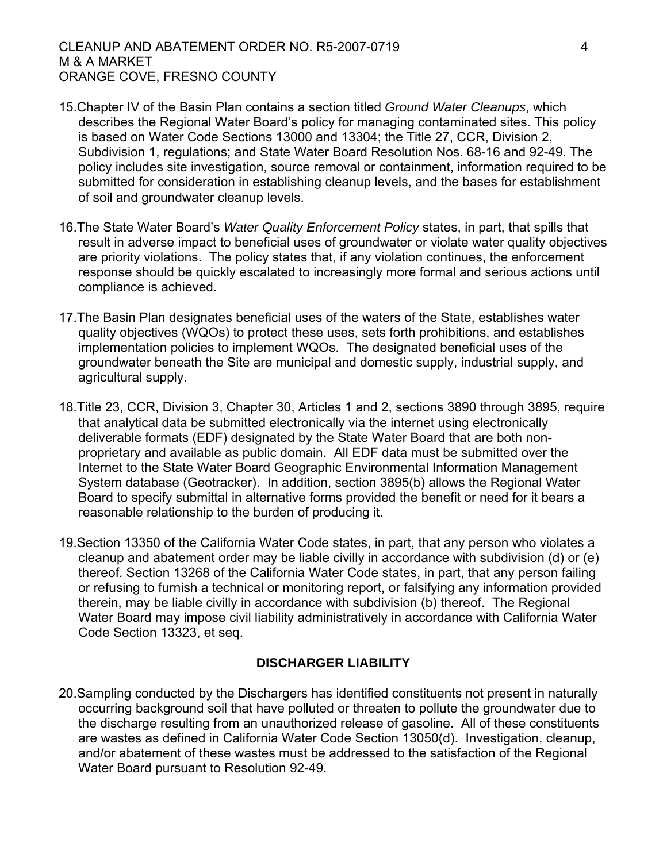- 15.Chapter IV of the Basin Plan contains a section titled *Ground Water Cleanups*, which describes the Regional Water Board's policy for managing contaminated sites. This policy is based on Water Code Sections 13000 and 13304; the Title 27, CCR, Division 2, Subdivision 1, regulations; and State Water Board Resolution Nos. 68-16 and 92-49. The policy includes site investigation, source removal or containment, information required to be submitted for consideration in establishing cleanup levels, and the bases for establishment of soil and groundwater cleanup levels.
- 16.The State Water Board's *Water Quality Enforcement Policy* states, in part, that spills that result in adverse impact to beneficial uses of groundwater or violate water quality objectives are priority violations. The policy states that, if any violation continues, the enforcement response should be quickly escalated to increasingly more formal and serious actions until compliance is achieved.
- 17.The Basin Plan designates beneficial uses of the waters of the State, establishes water quality objectives (WQOs) to protect these uses, sets forth prohibitions, and establishes implementation policies to implement WQOs. The designated beneficial uses of the groundwater beneath the Site are municipal and domestic supply, industrial supply, and agricultural supply.
- 18.Title 23, CCR, Division 3, Chapter 30, Articles 1 and 2, sections 3890 through 3895, require that analytical data be submitted electronically via the internet using electronically deliverable formats (EDF) designated by the State Water Board that are both nonproprietary and available as public domain. All EDF data must be submitted over the Internet to the State Water Board Geographic Environmental Information Management System database (Geotracker). In addition, section 3895(b) allows the Regional Water Board to specify submittal in alternative forms provided the benefit or need for it bears a reasonable relationship to the burden of producing it.
- 19.Section 13350 of the California Water Code states, in part, that any person who violates a cleanup and abatement order may be liable civilly in accordance with subdivision (d) or (e) thereof. Section 13268 of the California Water Code states, in part, that any person failing or refusing to furnish a technical or monitoring report, or falsifying any information provided therein, may be liable civilly in accordance with subdivision (b) thereof. The Regional Water Board may impose civil liability administratively in accordance with California Water Code Section 13323, et seq.

### **DISCHARGER LIABILITY**

20.Sampling conducted by the Dischargers has identified constituents not present in naturally occurring background soil that have polluted or threaten to pollute the groundwater due to the discharge resulting from an unauthorized release of gasoline. All of these constituents are wastes as defined in California Water Code Section 13050(d). Investigation, cleanup, and/or abatement of these wastes must be addressed to the satisfaction of the Regional Water Board pursuant to Resolution 92-49.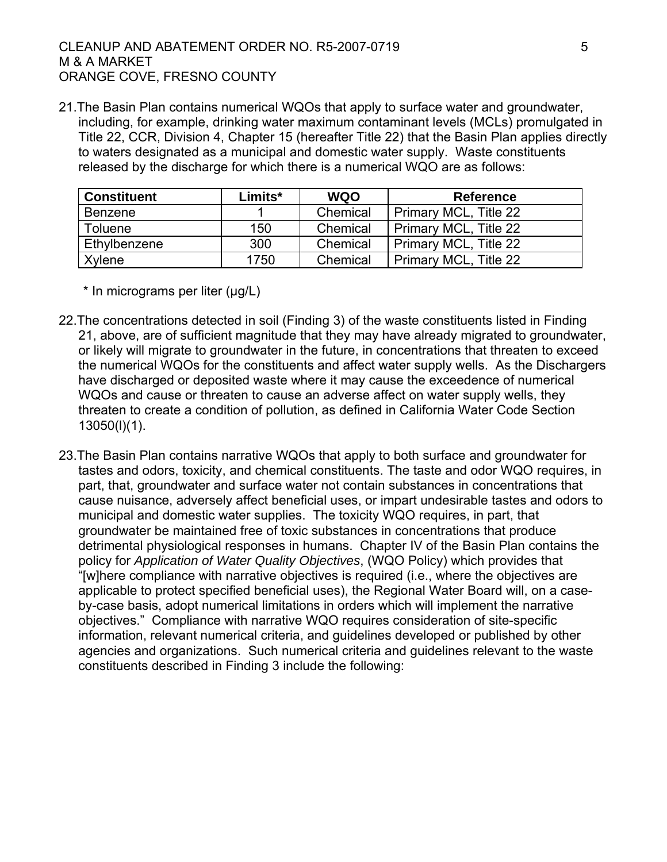21.The Basin Plan contains numerical WQOs that apply to surface water and groundwater, including, for example, drinking water maximum contaminant levels (MCLs) promulgated in Title 22, CCR, Division 4, Chapter 15 (hereafter Title 22) that the Basin Plan applies directly to waters designated as a municipal and domestic water supply. Waste constituents released by the discharge for which there is a numerical WQO are as follows:

| <b>Constituent</b> | Limits* | <b>WQO</b> | <b>Reference</b>      |
|--------------------|---------|------------|-----------------------|
| <b>Benzene</b>     |         | Chemical   | Primary MCL, Title 22 |
| <b>Toluene</b>     | 150     | Chemical   | Primary MCL, Title 22 |
| Ethylbenzene       | 300     | Chemical   | Primary MCL, Title 22 |
| Xylene             | 1750    | Chemical   | Primary MCL, Title 22 |

\* In micrograms per liter (µg/L)

- 22.The concentrations detected in soil (Finding 3) of the waste constituents listed in Finding 21, above, are of sufficient magnitude that they may have already migrated to groundwater, or likely will migrate to groundwater in the future, in concentrations that threaten to exceed the numerical WQOs for the constituents and affect water supply wells. As the Dischargers have discharged or deposited waste where it may cause the exceedence of numerical WQOs and cause or threaten to cause an adverse affect on water supply wells, they threaten to create a condition of pollution, as defined in California Water Code Section 13050(l)(1).
- 23.The Basin Plan contains narrative WQOs that apply to both surface and groundwater for tastes and odors, toxicity, and chemical constituents. The taste and odor WQO requires, in part, that, groundwater and surface water not contain substances in concentrations that cause nuisance, adversely affect beneficial uses, or impart undesirable tastes and odors to municipal and domestic water supplies. The toxicity WQO requires, in part, that groundwater be maintained free of toxic substances in concentrations that produce detrimental physiological responses in humans. Chapter IV of the Basin Plan contains the policy for *Application of Water Quality Objectives*, (WQO Policy) which provides that "[w]here compliance with narrative objectives is required (i.e., where the objectives are applicable to protect specified beneficial uses), the Regional Water Board will, on a caseby-case basis, adopt numerical limitations in orders which will implement the narrative objectives." Compliance with narrative WQO requires consideration of site-specific information, relevant numerical criteria, and guidelines developed or published by other agencies and organizations. Such numerical criteria and guidelines relevant to the waste constituents described in Finding 3 include the following: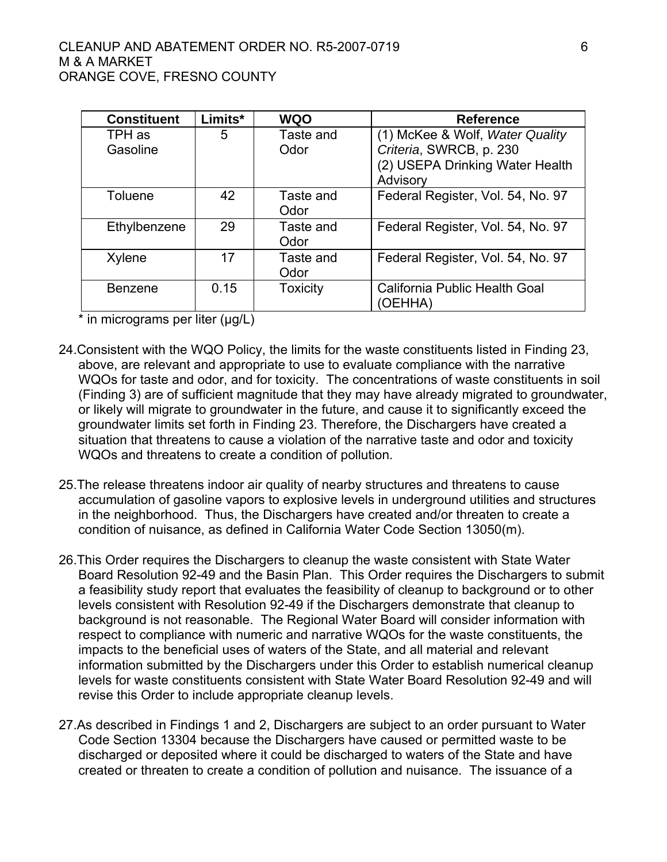| <b>Constituent</b> | Limits* | <b>WQO</b>      | <b>Reference</b>                  |
|--------------------|---------|-----------------|-----------------------------------|
| TPH as             | 5       | Taste and       | (1) McKee & Wolf, Water Quality   |
| Gasoline           |         | Odor            | Criteria, SWRCB, p. 230           |
|                    |         |                 | (2) USEPA Drinking Water Health   |
|                    |         |                 | Advisory                          |
| <b>Toluene</b>     | 42      | Taste and       | Federal Register, Vol. 54, No. 97 |
|                    |         | Odor            |                                   |
| Ethylbenzene       | 29      | Taste and       | Federal Register, Vol. 54, No. 97 |
|                    |         | Odor            |                                   |
| Xylene             | 17      | Taste and       | Federal Register, Vol. 54, No. 97 |
|                    |         | Odor            |                                   |
| <b>Benzene</b>     | 0.15    | <b>Toxicity</b> | California Public Health Goal     |
|                    |         |                 | (OEHHA)                           |

\* in micrograms per liter (μg/L)

- 24.Consistent with the WQO Policy, the limits for the waste constituents listed in Finding 23, above, are relevant and appropriate to use to evaluate compliance with the narrative WQOs for taste and odor, and for toxicity. The concentrations of waste constituents in soil (Finding 3) are of sufficient magnitude that they may have already migrated to groundwater, or likely will migrate to groundwater in the future, and cause it to significantly exceed the groundwater limits set forth in Finding 23. Therefore, the Dischargers have created a situation that threatens to cause a violation of the narrative taste and odor and toxicity WQOs and threatens to create a condition of pollution.
- 25.The release threatens indoor air quality of nearby structures and threatens to cause accumulation of gasoline vapors to explosive levels in underground utilities and structures in the neighborhood. Thus, the Dischargers have created and/or threaten to create a condition of nuisance, as defined in California Water Code Section 13050(m).
- 26.This Order requires the Dischargers to cleanup the waste consistent with State Water Board Resolution 92-49 and the Basin Plan. This Order requires the Dischargers to submit a feasibility study report that evaluates the feasibility of cleanup to background or to other levels consistent with Resolution 92-49 if the Dischargers demonstrate that cleanup to background is not reasonable. The Regional Water Board will consider information with respect to compliance with numeric and narrative WQOs for the waste constituents, the impacts to the beneficial uses of waters of the State, and all material and relevant information submitted by the Dischargers under this Order to establish numerical cleanup levels for waste constituents consistent with State Water Board Resolution 92-49 and will revise this Order to include appropriate cleanup levels.
- 27.As described in Findings 1 and 2, Dischargers are subject to an order pursuant to Water Code Section 13304 because the Dischargers have caused or permitted waste to be discharged or deposited where it could be discharged to waters of the State and have created or threaten to create a condition of pollution and nuisance. The issuance of a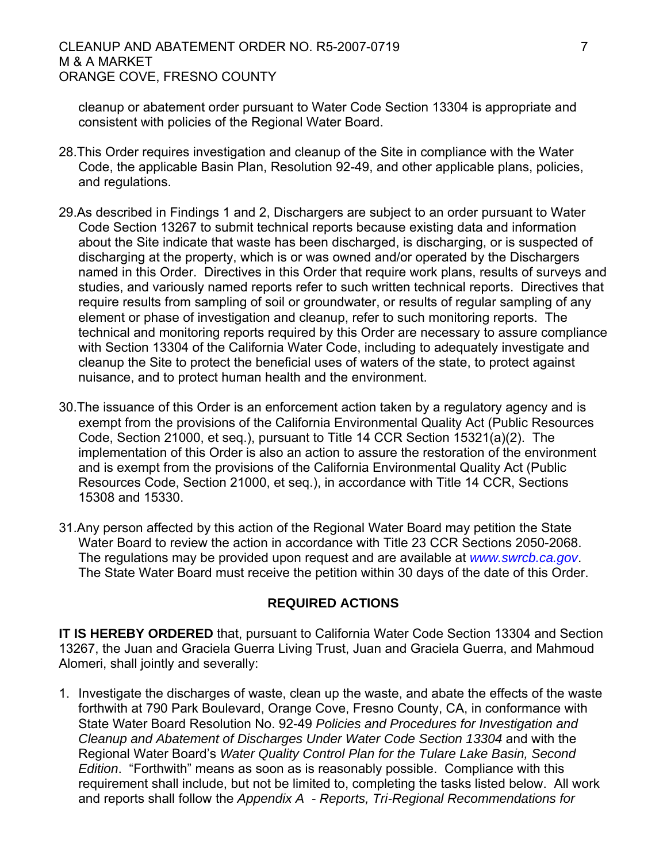#### CLEANUP AND ABATEMENT ORDER NO. R5-2007-0719 7 M & A MARKET ORANGE COVE, FRESNO COUNTY

cleanup or abatement order pursuant to Water Code Section 13304 is appropriate and consistent with policies of the Regional Water Board.

- 28.This Order requires investigation and cleanup of the Site in compliance with the Water Code, the applicable Basin Plan, Resolution 92-49, and other applicable plans, policies, and regulations.
- 29.As described in Findings 1 and 2, Dischargers are subject to an order pursuant to Water Code Section 13267 to submit technical reports because existing data and information about the Site indicate that waste has been discharged, is discharging, or is suspected of discharging at the property, which is or was owned and/or operated by the Dischargers named in this Order. Directives in this Order that require work plans, results of surveys and studies, and variously named reports refer to such written technical reports. Directives that require results from sampling of soil or groundwater, or results of regular sampling of any element or phase of investigation and cleanup, refer to such monitoring reports. The technical and monitoring reports required by this Order are necessary to assure compliance with Section 13304 of the California Water Code, including to adequately investigate and cleanup the Site to protect the beneficial uses of waters of the state, to protect against nuisance, and to protect human health and the environment.
- 30.The issuance of this Order is an enforcement action taken by a regulatory agency and is exempt from the provisions of the California Environmental Quality Act (Public Resources Code, Section 21000, et seq.), pursuant to Title 14 CCR Section 15321(a)(2). The implementation of this Order is also an action to assure the restoration of the environment and is exempt from the provisions of the California Environmental Quality Act (Public Resources Code, Section 21000, et seq.), in accordance with Title 14 CCR, Sections 15308 and 15330.
- 31.Any person affected by this action of the Regional Water Board may petition the State Water Board to review the action in accordance with Title 23 CCR Sections 2050-2068. The regulations may be provided upon request and are available at *[www.swrcb.ca.gov](http://www.swrcb.ca.gov/)*. The State Water Board must receive the petition within 30 days of the date of this Order.

#### **REQUIRED ACTIONS**

**IT IS HEREBY ORDERED** that, pursuant to California Water Code Section 13304 and Section 13267, the Juan and Graciela Guerra Living Trust, Juan and Graciela Guerra, and Mahmoud Alomeri, shall jointly and severally:

1. Investigate the discharges of waste, clean up the waste, and abate the effects of the waste forthwith at 790 Park Boulevard, Orange Cove, Fresno County, CA, in conformance with State Water Board Resolution No. 92-49 *Policies and Procedures for Investigation and Cleanup and Abatement of Discharges Under Water Code Section 13304* and with the Regional Water Board's *Water Quality Control Plan for the Tulare Lake Basin, Second Edition*. "Forthwith" means as soon as is reasonably possible. Compliance with this requirement shall include, but not be limited to, completing the tasks listed below. All work and reports shall follow the *Appendix A - Reports, Tri-Regional Recommendations for*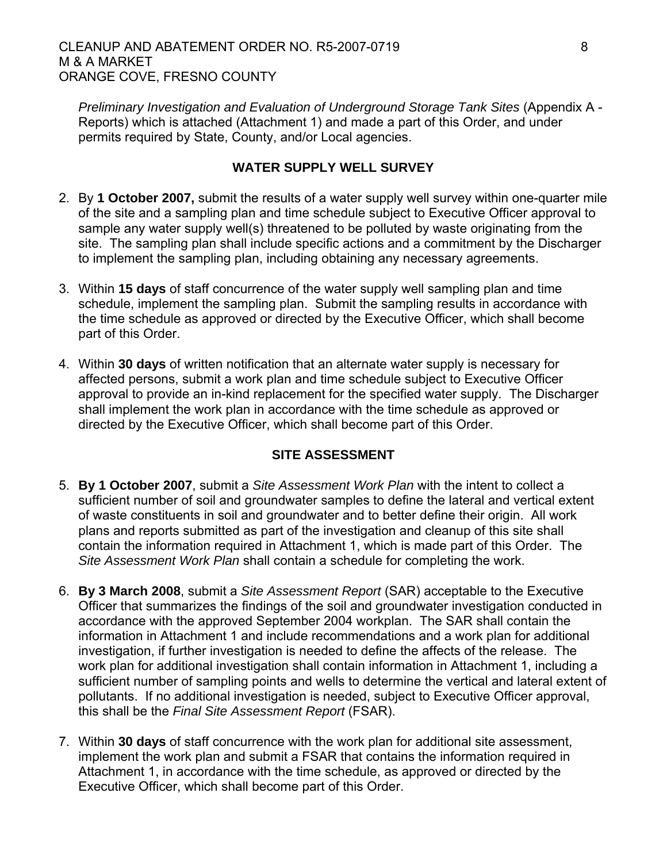*Preliminary Investigation and Evaluation of Underground Storage Tank Sites* (Appendix A - Reports) which is attached (Attachment 1) and made a part of this Order, and under permits required by State, County, and/or Local agencies.

### **WATER SUPPLY WELL SURVEY**

- 2. By **1 October 2007,** submit the results of a water supply well survey within one-quarter mile of the site and a sampling plan and time schedule subject to Executive Officer approval to sample any water supply well(s) threatened to be polluted by waste originating from the site. The sampling plan shall include specific actions and a commitment by the Discharger to implement the sampling plan, including obtaining any necessary agreements.
- 3. Within **15 days** of staff concurrence of the water supply well sampling plan and time schedule, implement the sampling plan. Submit the sampling results in accordance with the time schedule as approved or directed by the Executive Officer, which shall become part of this Order.
- 4. Within **30 days** of written notification that an alternate water supply is necessary for affected persons, submit a work plan and time schedule subject to Executive Officer approval to provide an in-kind replacement for the specified water supply. The Discharger shall implement the work plan in accordance with the time schedule as approved or directed by the Executive Officer, which shall become part of this Order.

## **SITE ASSESSMENT**

- 5. **By 1 October 2007**, submit a *Site Assessment Work Plan* with the intent to collect a sufficient number of soil and groundwater samples to define the lateral and vertical extent of waste constituents in soil and groundwater and to better define their origin. All work plans and reports submitted as part of the investigation and cleanup of this site shall contain the information required in Attachment 1, which is made part of this Order. The *Site Assessment Work Plan* shall contain a schedule for completing the work.
- 6. **By 3 March 2008**, submit a *Site Assessment Report* (SAR) acceptable to the Executive Officer that summarizes the findings of the soil and groundwater investigation conducted in accordance with the approved September 2004 workplan. The SAR shall contain the information in Attachment 1 and include recommendations and a work plan for additional investigation, if further investigation is needed to define the affects of the release. The work plan for additional investigation shall contain information in Attachment 1, including a sufficient number of sampling points and wells to determine the vertical and lateral extent of pollutants. If no additional investigation is needed, subject to Executive Officer approval, this shall be the *Final Site Assessment Report* (FSAR).
- 7. Within **30 days** of staff concurrence with the work plan for additional site assessment, implement the work plan and submit a FSAR that contains the information required in Attachment 1, in accordance with the time schedule, as approved or directed by the Executive Officer, which shall become part of this Order.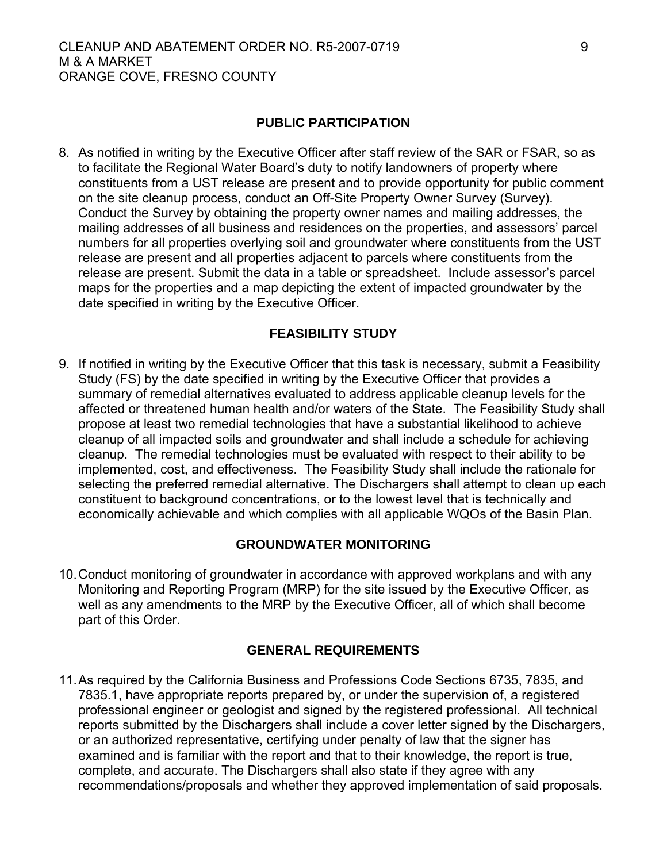#### **PUBLIC PARTICIPATION**

8. As notified in writing by the Executive Officer after staff review of the SAR or FSAR, so as to facilitate the Regional Water Board's duty to notify landowners of property where constituents from a UST release are present and to provide opportunity for public comment on the site cleanup process, conduct an Off-Site Property Owner Survey (Survey). Conduct the Survey by obtaining the property owner names and mailing addresses, the mailing addresses of all business and residences on the properties, and assessors' parcel numbers for all properties overlying soil and groundwater where constituents from the UST release are present and all properties adjacent to parcels where constituents from the release are present. Submit the data in a table or spreadsheet. Include assessor's parcel maps for the properties and a map depicting the extent of impacted groundwater by the date specified in writing by the Executive Officer.

#### **FEASIBILITY STUDY**

9. If notified in writing by the Executive Officer that this task is necessary, submit a Feasibility Study (FS) by the date specified in writing by the Executive Officer that provides a summary of remedial alternatives evaluated to address applicable cleanup levels for the affected or threatened human health and/or waters of the State. The Feasibility Study shall propose at least two remedial technologies that have a substantial likelihood to achieve cleanup of all impacted soils and groundwater and shall include a schedule for achieving cleanup. The remedial technologies must be evaluated with respect to their ability to be implemented, cost, and effectiveness. The Feasibility Study shall include the rationale for selecting the preferred remedial alternative. The Dischargers shall attempt to clean up each constituent to background concentrations, or to the lowest level that is technically and economically achievable and which complies with all applicable WQOs of the Basin Plan.

#### **GROUNDWATER MONITORING**

10. Conduct monitoring of groundwater in accordance with approved workplans and with any Monitoring and Reporting Program (MRP) for the site issued by the Executive Officer, as well as any amendments to the MRP by the Executive Officer, all of which shall become part of this Order.

#### **GENERAL REQUIREMENTS**

11. As required by the California Business and Professions Code Sections 6735, 7835, and 7835.1, have appropriate reports prepared by, or under the supervision of, a registered professional engineer or geologist and signed by the registered professional. All technical reports submitted by the Dischargers shall include a cover letter signed by the Dischargers, or an authorized representative, certifying under penalty of law that the signer has examined and is familiar with the report and that to their knowledge, the report is true, complete, and accurate. The Dischargers shall also state if they agree with any recommendations/proposals and whether they approved implementation of said proposals.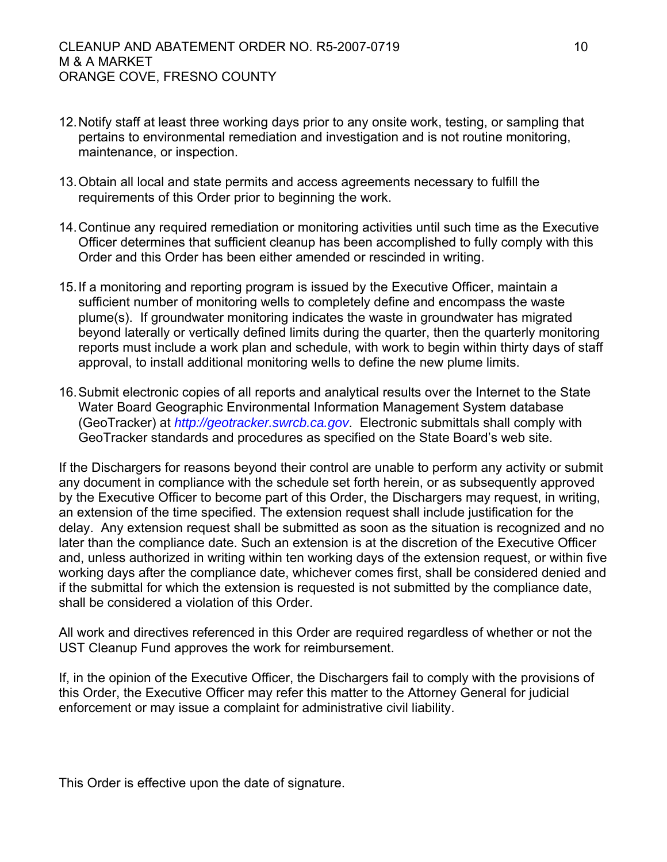- 12. Notify staff at least three working days prior to any onsite work, testing, or sampling that pertains to environmental remediation and investigation and is not routine monitoring, maintenance, or inspection.
- 13. Obtain all local and state permits and access agreements necessary to fulfill the requirements of this Order prior to beginning the work.
- 14. Continue any required remediation or monitoring activities until such time as the Executive Officer determines that sufficient cleanup has been accomplished to fully comply with this Order and this Order has been either amended or rescinded in writing.
- 15. If a monitoring and reporting program is issued by the Executive Officer, maintain a sufficient number of monitoring wells to completely define and encompass the waste plume(s). If groundwater monitoring indicates the waste in groundwater has migrated beyond laterally or vertically defined limits during the quarter, then the quarterly monitoring reports must include a work plan and schedule, with work to begin within thirty days of staff approval, to install additional monitoring wells to define the new plume limits.
- 16. Submit electronic copies of all reports and analytical results over the Internet to the State Water Board Geographic Environmental Information Management System database (GeoTracker) at *[http://geotracker.swrcb.ca.gov](http://geotracker.swrcb.ca.gov/)*. Electronic submittals shall comply with GeoTracker standards and procedures as specified on the State Board's web site.

If the Dischargers for reasons beyond their control are unable to perform any activity or submit any document in compliance with the schedule set forth herein, or as subsequently approved by the Executive Officer to become part of this Order, the Dischargers may request, in writing, an extension of the time specified. The extension request shall include justification for the delay. Any extension request shall be submitted as soon as the situation is recognized and no later than the compliance date. Such an extension is at the discretion of the Executive Officer and, unless authorized in writing within ten working days of the extension request, or within five working days after the compliance date, whichever comes first, shall be considered denied and if the submittal for which the extension is requested is not submitted by the compliance date, shall be considered a violation of this Order.

All work and directives referenced in this Order are required regardless of whether or not the UST Cleanup Fund approves the work for reimbursement.

If, in the opinion of the Executive Officer, the Dischargers fail to comply with the provisions of this Order, the Executive Officer may refer this matter to the Attorney General for judicial enforcement or may issue a complaint for administrative civil liability.

This Order is effective upon the date of signature.